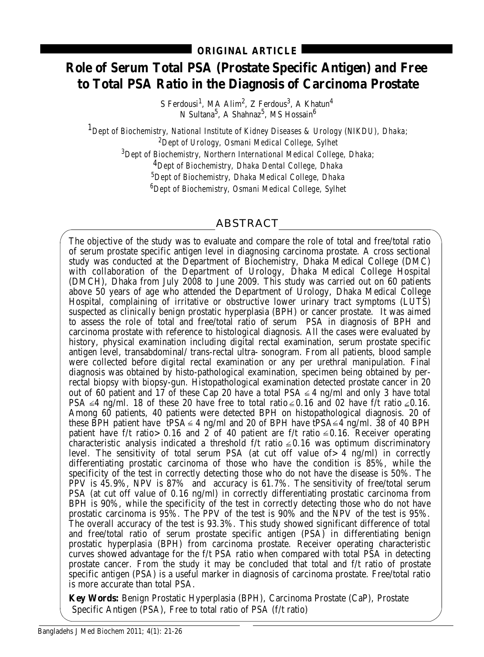# **Role of Serum Total PSA (Prostate Specific Antigen) and Free to Total PSA Ratio in the Diagnosis of Carcinoma Prostate**

S Ferdousi $^1$ , MA Alim $^2$ , Z Ferdous $^3$ , A Khatun $^4$ N Sultana $^5\!$ , A Shahnaz $^5\!$ , MS Hossain $^6\!$ 

*1Dept of Biochemistry, National Institute of Kidney Diseases & Urology (NIKDU), Dhaka;*

*2 Dept of Urology, Osmani Medical College, Sylhet*

*3 Dept of Biochemistry, Northern International Medical College, Dhaka;*

*4Dept of Biochemistry, Dhaka Dental College, Dhaka*

*5 Dept of Biochemistry, Dhaka Medical College, Dhaka*

*6 Dept of Biochemistry, Osmani Medical College, Sylhet*

## ABSTRACT

The objective of the study was to evaluate and compare the role of total and free/total ratio of serum prostate specific antigen level in diagnosing carcinoma prostate. A cross sectional study was conducted at the Department of Biochemistry, Dhaka Medical College (DMC) with collaboration of the Department of Urology, Dhaka Medical College Hospital (DMCH), Dhaka from July 2008 to June 2009. This study was carried out on 60 patients above 50 years of age who attended the Department of Urology, Dhaka Medical College Hospital, complaining of irritative or obstructive lower urinary tract symptoms (LUTS) suspected as clinically benign prostatic hyperplasia (BPH) or cancer prostate. It was aimed to assess the role of total and free/total ratio of serum PSA in diagnosis of BPH and carcinoma prostate with reference to histological diagnosis. All the cases were evaluated by history, physical examination including digital rectal examination, serum prostate specific antigen level, transabdominal/ trans-rectal ultra- sonogram. From all patients, blood sample were collected before digital rectal examination or any per urethral manipulation. Final diagnosis was obtained by histo-pathological examination, specimen being obtained by perrectal biopsy with biopsy-gun. Histopathological examination detected prostate cancer in 20 out of 60 patient and 17 of these Cap 20 have a total PSA  $\leq$  4 ng/ml and only 3 have total PSA  $\leq$ 4 ng/ml. 18 of these 20 have free to total ratio  $\leq$  0.16 and 02 have f/t ratio  $\leq$  0.16. Among 60 patients, 40 patients were detected BPH on histopathological diagnosis. 20 of these BPH patient have tPSA  $\leq$  4 ng/ml and 20 of BPH have tPSA $\leq$  4 ng/ml. 38 of 40 BPH patient have f/t ratio > 0.16 and  $2<sup>-</sup>$  of 40 patient are f/t ratio  $\leq$  0.16. Receiver operating characteristic analysis indicated a threshold  $f/t$  ratio  $\leq 0.16$  was optimum discriminatory level. The sensitivity of total serum PSA (at cut off value of  $> 4$  ng/ml) in correctly differentiating prostatic carcinoma of those who have the condition is 85%, while the specificity of the test in correctly detecting those who do not have the disease is 50%. The PPV is 45.9%, NPV is 87% and accuracy is 61.7%. The sensitivity of free/total serum PSA (at cut off value of 0.16 ng/ml) in correctly differentiating prostatic carcinoma from BPH is 90%, while the specificity of the test in correctly detecting those who do not have prostatic carcinoma is 95%. The PPV of the test is 90% and the NPV of the test is 95%. The overall accuracy of the test is 93.3%. This study showed significant difference of total and free/total ratio of serum prostate specific antigen (PSA) in differentiating benign prostatic hyperplasia (BPH) from carcinoma prostate. Receiver operating characteristic curves showed advantage for the f/t PSA ratio when compared with total PSA in detecting prostate cancer. From the study it may be concluded that total and f/t ratio of prostate specific antigen (PSA) is a useful marker in diagnosis of carcinoma prostate. Free/total ratio is more accurate than total PSA.

**Key Words:** Benign Prostatic Hyperplasia (BPH), Carcinoma Prostate (CaP), Prostate Specific Antigen (PSA), Free to total ratio of PSA (f/t ratio)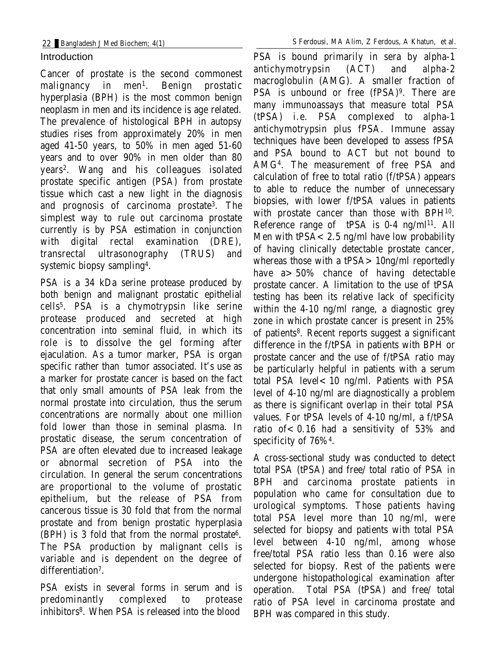## Introduction

Cancer of prostate is the second commonest malignancy in men<sup>1</sup>. Benign prostatic hyperplasia (BPH) is the most common benign neoplasm in men and its incidence is age related. The prevalence of histological BPH in autopsy studies rises from approximately 20% in men aged 41-50 years, to 50% in men aged 51-60 years and to over 90% in men older than 80 years2. Wang and his colleagues isolated prostate specific antigen (PSA) from prostate tissue which cast a new light in the diagnosis and prognosis of carcinoma prostate3. The simplest way to rule out carcinoma prostate currently is by PSA estimation in conjunction with digital rectal examination (DRE), transrectal ultrasonography (TRUS) and systemic biopsy sampling4.

PSA is a 34 kDa serine protease produced by both benign and malignant prostatic epithelial cells5. PSA is a chymotrypsin like serine protease produced and secreted at high concentration into seminal fluid, in which its role is to dissolve the gel forming after ejaculation. As a tumor marker, PSA is organ specific rather than tumor associated. It's use as a marker for prostate cancer is based on the fact that only small amounts of PSA leak from the normal prostate into circulation, thus the serum concentrations are normally about one million fold lower than those in seminal plasma. In prostatic disease, the serum concentration of PSA are often elevated due to increased leakage or abnormal secretion of PSA into the circulation. In general the serum concentrations are proportional to the volume of prostatic epithelium, but the release of PSA from cancerous tissue is 30 fold that from the normal prostate and from benign prostatic hyperplasia (BPH) is 3 fold that from the normal prostate6. The PSA production by malignant cells is variable and is dependent on the degree of differentiation<sup>7</sup>.

PSA exists in several forms in serum and is predominantly complexed to protease inhibitors8. When PSA is released into the blood

PSA is bound primarily in sera by alpha-1 antichymotrypsin (ACT) and alpha-2 macroglobulin (AMG). A smaller fraction of PSA is unbound or free (fPSA)<sup>9</sup>. There are many immunoassays that measure total PSA (tPSA) i.e. PSA complexed to alpha-1 antichymotrypsin plus fPSA. Immune assay techniques have been developed to assess fPSA and PSA bound to ACT but not bound to AMG4. The measurement of free PSA and calculation of free to total ratio (f/tPSA) appears to able to reduce the number of unnecessary biopsies, with lower f/tPSA values in patients with prostate cancer than those with BPH10. Reference range of tPSA is 0-4 ng/ml 11. All Men with  $tPSA < 2.5$  ng/ml have low probability of having clinically detectable prostate cancer, whereas those with a tPSA>10ng/ml reportedly have a>50% chance of having detectable prostate cancer. A limitation to the use of tPSA testing has been its relative lack of specificity within the 4-10 ng/ml range, a diagnostic grey zone in which prostate cancer is present in 25% of patients8. Recent reports suggest a significant difference in the f/tPSA in patients with BPH or prostate cancer and the use of f/tPSA ratio may be particularly helpful in patients with a serum total PSA level<10 ng/ml. Patients with PSA level of 4-10 ng/ml are diagnostically a problem as there is significant overlap in their total PSA values. For tPSA levels of 4-10 ng/ml, a f/tPSA ratio of  $< 0.16$  had a sensitivity of 53% and specificity of 76%4.

A cross-sectional study was conducted to detect total PSA (tPSA) and free/ total ratio of PSA in BPH and carcinoma prostate patients in population who came for consultation due to urological symptoms. Those patients having total PSA level more than 10 ng/ml, were selected for biopsy and patients with total PSA level between 4-10 ng/ml, among whose free/total PSA ratio less than 0.16 were also selected for biopsy. Rest of the patients were undergone histopathological examination after operation. Total PSA (tPSA) and free/ total ratio of PSA level in carcinoma prostate and BPH was compared in this study.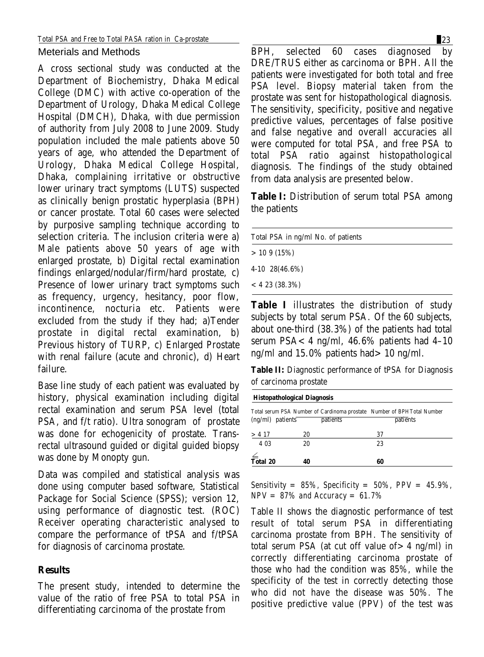Meterials and Methods

A cross sectional study was conducted at the Department of Biochemistry, Dhaka Medical College (DMC) with active co-operation of the Department of Urology, Dhaka Medical College Hospital (DMCH), Dhaka, with due permission of authority from July 2008 to June 2009. Study population included the male patients above 50 years of age, who attended the Department of Urology, Dhaka Medical College Hospital, Dhaka, complaining irritative or obstructive lower urinary tract symptoms (LUTS) suspected as clinically benign prostatic hyperplasia (BPH) or cancer prostate. Total 60 cases were selected by purposive sampling technique according to selection criteria. The inclusion criteria were a) Male patients above 50 years of age with enlarged prostate, b) Digital rectal examination findings enlarged/nodular/firm/hard prostate, c) Presence of lower urinary tract symptoms such as frequency, urgency, hesitancy, poor flow, incontinence, nocturia etc. Patients were excluded from the study if they had; a)Tender prostate in digital rectal examination, b) Previous history of TURP, c) Enlarged Prostate with renal failure (acute and chronic), d) Heart failure.

Base line study of each patient was evaluated by history, physical examination including digital rectal examination and serum PSA level (total PSA, and f/t ratio). Ultra sonogram of prostate was done for echogenicity of prostate. Transrectal ultrasound guided or digital guided biopsy was done by Monopty gun.

Data was compiled and statistical analysis was done using computer based software, Statistical Package for Social Science (SPSS); version 12, using performance of diagnostic test. (ROC) Receiver operating characteristic analysed to compare the performance of tPSA and f/tPSA for diagnosis of carcinoma prostate.

### **Results**

The present study, intended to determine the value of the ratio of free PSA to total PSA in differentiating carcinoma of the prostate from

BPH, selected 60 cases diagnosed by DRE/TRUS either as carcinoma or BPH. All the patients were investigated for both total and free PSA level. Biopsy material taken from the prostate was sent for histopathological diagnosis. The sensitivity, specificity, positive and negative predictive values, percentages of false positive and false negative and overall accuracies all were computed for total PSA, and free PSA to total PSA ratio against histopathological diagnosis. The findings of the study obtained from data analysis are presented below.

**Table I:** Distribution of serum total PSA among the patients

| Total PSA in ng/ml No. of patients                                                                             |  |
|----------------------------------------------------------------------------------------------------------------|--|
| >109(15%)                                                                                                      |  |
| 4-10 28(46.6%)                                                                                                 |  |
| $< 423 (38.3\%)$                                                                                               |  |
| What I all the Charles of the Charles of Control of the Charles of the Charles of the Charles of the Charles o |  |

**Table I** illustrates the distribution of study subjects by total serum PSA. Of the 60 subjects, about one-third (38.3%) of the patients had total serum PSA $< 4$  ng/ml, 46.6% patients had 4-10 ng/ml and 15.0% patients had>10 ng/ml.

**Table II:** Diagnostic performance of tPSA for Diagnosis of carcinoma prostate

| Histopathological Diagnosis                                    |    |                 |                                                                        |
|----------------------------------------------------------------|----|-----------------|------------------------------------------------------------------------|
|                                                                |    |                 | Total serum PSA Number of Cardinoma prostate Number of BPHTotal Number |
| $(ng/ml)$ patients                                             |    | <i>patients</i> | <i>patients</i>                                                        |
| > 4.17                                                         | 20 |                 | 37                                                                     |
| 4 03                                                           | 20 |                 | 23                                                                     |
| $\stackrel{\scriptstyle\angle}{\overline{\mathbf{T}}}$ otal 20 |    |                 |                                                                        |
|                                                                | 40 |                 | 60                                                                     |

*Sensitivity = 85%, Specificity = 50%, PPV = 45.9%, NPV = 87% and Accuracy = 61.7%*

Table II shows the diagnostic performance of test result of total serum PSA in differentiating carcinoma prostate from BPH. The sensitivity of total serum PSA (at cut off value of  $> 4$  ng/ml) in correctly differentiating carcinoma prostate of those who had the condition was 85%, while the specificity of the test in correctly detecting those who did not have the disease was 50%. The positive predictive value (PPV) of the test was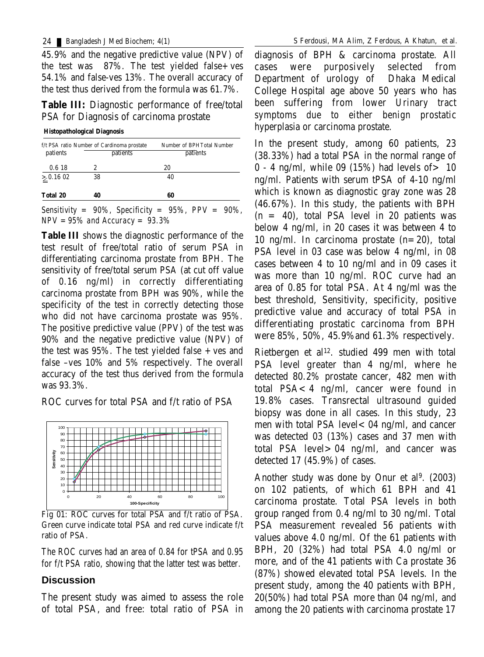45.9% and the negative predictive value (NPV) of the test was  $87\%$ . The test yielded false + ves 54.1% and false-ves 13%. The overall accuracy of the test thus derived from the formula was 61.7%.

**Table III:** Diagnostic performance of free/total PSA for Diagnosis of carcinoma prostate

 **Histopathological Diagnosis**

| f/t PSA ratio Number of Cardinoma prostate |          | <b>Number of BPHTotal Number</b> |
|--------------------------------------------|----------|----------------------------------|
| patients                                   | patients | patients                         |
| 0.618                                      | 2        | 20                               |
| > 0.1602                                   | 38       | 40                               |
| Total 20                                   | 40       | 60                               |

*Sensitivity = 90%, Specificity = 95%, PPV = 90%, NPV =95% and Accuracy = 93.3%*

**Table III** shows the diagnostic performance of the test result of free/total ratio of serum PSA in differentiating carcinoma prostate from BPH. The sensitivity of free/total serum PSA (at cut off value of 0.16 ng/ml) in correctly differentiating carcinoma prostate from BPH was 90%, while the specificity of the test in correctly detecting those who did not have carcinoma prostate was 95%. The positive predictive value (PPV) of the test was 90% and the negative predictive value (NPV) of the test was  $95\%$ . The test yielded false  $+$  ves and false –ves 10% and 5% respectively. The overall accuracy of the test thus derived from the formula was 93.3%.

ROC curves for total PSA and f/t ratio of PSA



Fig 01: ROC curves for total PSA and f/t ratio of PSA. Green curve indicate total PSA and red curve indicate f/t ratio of PSA.

The ROC curves had an area of 0.84 for tPSA and 0.95 for f/t PSA ratio, showing that the latter test was better.

### **Discussion**

The present study was aimed to assess the role of total PSA, and free: total ratio of PSA in

diagnosis of BPH & carcinoma prostate. All cases were purposively selected from Department of urology of Dhaka Medical College Hospital age above 50 years who has been suffering from lower Urinary tract symptoms due to either benign prostatic hyperplasia or carcinoma prostate.

In the present study, among 60 patients, 23 (38.33%) had a total PSA in the normal range of  $0 - 4$  ng/ml, while 09 (15%) had levels of  $> 10$ ng/ml. Patients with serum tPSA of 4-10 ng/ml which is known as diagnostic gray zone was 28 (46.67%). In this study, the patients with BPH  $(n = 40)$ , total PSA level in 20 patients was below 4 ng/ml, in 20 cases it was between 4 to 10 ng/ml. In carcinoma prostate  $(n=20)$ , total PSA level in 03 case was below 4 ng/ml, in 08 cases between 4 to 10 ng/ml and in 09 cases it was more than 10 ng/ml. ROC curve had an area of 0.85 for total PSA. At 4 ng/ml was the best threshold, Sensitivity, specificity, positive predictive value and accuracy of total PSA in differentiating prostatic carcinoma from BPH were 85%, 50%, 45.9%and 61.3% respectively.

Rietbergen et al 12. studied 499 men with total PSA level greater than 4 ng/ml, where he detected 80.2% prostate cancer, 482 men with total PSA<4 ng/ml, cancer were found in 19.8% cases. Transrectal ultrasound guided biopsy was done in all cases. In this study, 23 men with total PSA level $<$  04 ng/ml, and cancer was detected 03 (13%) cases and 37 men with total PSA level>04 ng/ml, and cancer was detected 17 (45.9%) of cases.

Another study was done by Onur et al 9. (2003) on 102 patients, of which 61 BPH and 41 carcinoma prostate. Total PSA levels in both group ranged from 0.4 ng/ml to 30 ng/ml. Total PSA measurement revealed 56 patients with values above 4.0 ng/ml. Of the 61 patients with BPH, 20 (32%) had total PSA 4.0 ng/ml or more, and of the 41 patients with Ca prostate 36 (87%) showed elevated total PSA levels. In the present study, among the 40 patients with BPH, 20(50%) had total PSA more than 04 ng/ml, and among the 20 patients with carcinoma prostate 17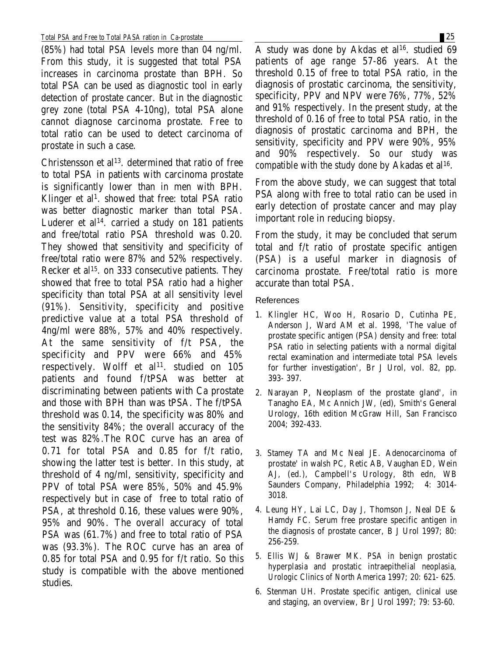(85%) had total PSA levels more than 04 ng/ml. From this study, it is suggested that total PSA increases in carcinoma prostate than BPH. So total PSA can be used as diagnostic tool in early detection of prostate cancer. But in the diagnostic grey zone (total PSA 4-10ng), total PSA alone cannot diagnose carcinoma prostate. Free to total ratio can be used to detect carcinoma of prostate in such a case.

Christensson et al 13. determined that ratio of free to total PSA in patients with carcinoma prostate is significantly lower than in men with BPH. Klinger et al 1. showed that free: total PSA ratio was better diagnostic marker than total PSA. Luderer et al 14. carried a study on 181 patients and free/total ratio PSA threshold was 0.20. They showed that sensitivity and specificity of free/total ratio were 87% and 52% respectively. Recker et al 15. on 333 consecutive patients. They showed that free to total PSA ratio had a higher specificity than total PSA at all sensitivity level (91%). Sensitivity, specificity and positive predictive value at a total PSA threshold of 4ng/ml were 88%, 57% and 40% respectively. At the same sensitivity of f/t PSA, the specificity and PPV were 66% and 45% respectively. Wolff et al<sup>11</sup>. studied on  $105$ patients and found f/tPSA was better at discriminating between patients with Ca prostate and those with BPH than was tPSA. The f/tPSA threshold was 0.14, the specificity was 80% and the sensitivity 84%; the overall accuracy of the test was 82%.The ROC curve has an area of 0.71 for total PSA and 0.85 for f/t ratio, showing the latter test is better. In this study, at threshold of 4 ng/ml, sensitivity, specificity and PPV of total PSA were 85%, 50% and 45.9% respectively but in case of free to total ratio of PSA, at threshold 0.16, these values were 90%, 95% and 90%. The overall accuracy of total PSA was (61.7%) and free to total ratio of PSA was (93.3%). The ROC curve has an area of 0.85 for total PSA and 0.95 for f/t ratio. So this study is compatible with the above mentioned studies.

A study was done by Akdas et al 16. studied 69 patients of age range 57-86 years. At the threshold 0.15 of free to total PSA ratio, in the diagnosis of prostatic carcinoma, the sensitivity, specificity, PPV and NPV were 76%, 77%, 52% and 91% respectively. In the present study, at the threshold of 0.16 of free to total PSA ratio, in the diagnosis of prostatic carcinoma and BPH, the sensitivity, specificity and PPV were 90%, 95% and 90% respectively. So our study was compatible with the study done by Akadas et al 16.

From the above study, we can suggest that total PSA along with free to total ratio can be used in early detection of prostate cancer and may play important role in reducing biopsy.

From the study, it may be concluded that serum total and f/t ratio of prostate specific antigen (PSA) is a useful marker in diagnosis of carcinoma prostate. Free/total ratio is more accurate than total PSA.

References

- 1. Klingler HC, Woo H, Rosario D, Cutinha PE, Anderson J, Ward AM et al. 1998, 'The value of prostate specific antigen (PSA) density and free: total PSA ratio in selecting patients with a normal digital rectal examination and intermediate total PSA levels for further investigation', Br J Urol, vol. 82, pp. 393- 397.
- 2. Narayan P, Neoplasm of the prostate gland', in Tanagho EA, Mc Annich JW, (ed), Smith's General Urology, 16th edition McGraw Hill, San Francisco 2004; 392-433.
- 3. Stamey TA and Mc Neal JE. Adenocarcinoma of prostate' in walsh PC, Retic AB, Vaughan ED, Wein AJ, (ed.), Campbell's Urology, 8th edn, WB Saunders Company, Philadelphia 1992; 4: 3014- 3018.
- 4. Leung HY, Lai LC, Day J, Thomson J, Neal DE & Hamdy FC. Serum free prostare specific antigen in the diagnosis of prostate cancer, B J Urol 1997; 80: 256-259.
- 5. Ellis WJ & Brawer MK. PSA in benign prostatic hyperplasia and prostatic intraepithelial neoplasia, Urologic Clinics of North America 1997; 20: 621- 625.
- 6. Stenman UH. Prostate specific antigen, clinical use and staging, an overview, Br J Urol 1997; 79: 53-60.